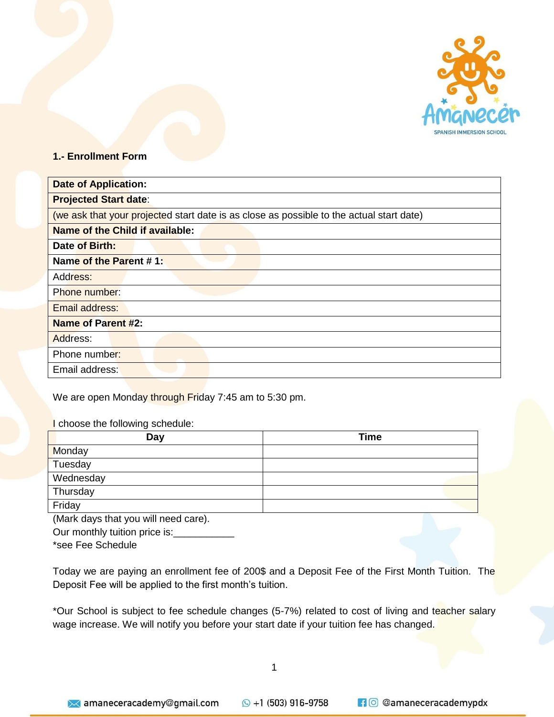

#### **1.- Enrollment Form**

| <b>Date of Application:</b>                                                              |  |  |
|------------------------------------------------------------------------------------------|--|--|
| <b>Projected Start date:</b>                                                             |  |  |
| (we ask that your projected start date is as close as possible to the actual start date) |  |  |
| Name of the Child if available:                                                          |  |  |
| Date of Birth:                                                                           |  |  |
| Name of the Parent #1:                                                                   |  |  |
| Address:                                                                                 |  |  |
| Phone number:                                                                            |  |  |
| Email address:                                                                           |  |  |
| <b>Name of Parent #2:</b>                                                                |  |  |
| Address:                                                                                 |  |  |
| Phone number:                                                                            |  |  |
| Email address:                                                                           |  |  |

#### We are open Monday through Friday 7:45 am to 5:30 pm.

#### I choose the following schedule:

| Day       | <b>Time</b> |
|-----------|-------------|
| Monday    |             |
| Tuesday   |             |
| Wednesday |             |
| Thursday  |             |
| Friday    |             |

(Mark days that you will need care).

Our monthly tuition price is:

\*see Fee Schedule

Today we are paying an enrollment fee of 200\$ and a Deposit Fee of the First Month Tuition. The Deposit Fee will be applied to the first month's tuition.

\*Our School is subject to fee schedule changes (5-7%) related to cost of living and teacher salary wage increase. We will notify you before your start date if your tuition fee has changed.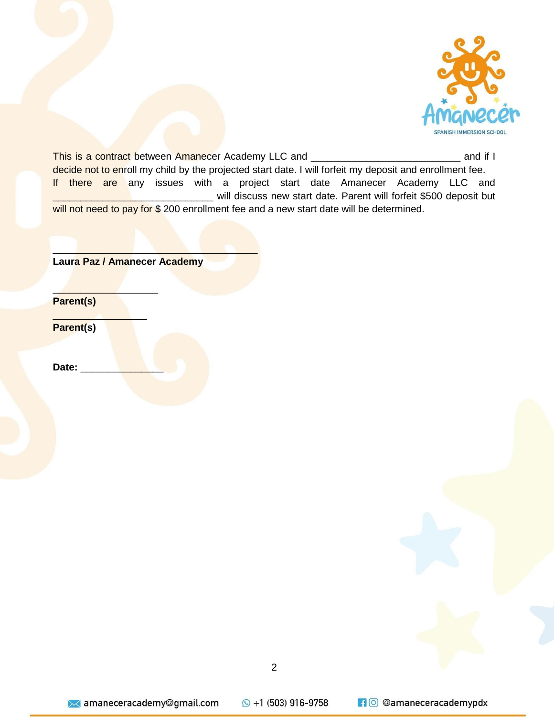

This is a contract between Amanecer Academy LLC and \_\_\_\_\_\_\_\_\_\_\_\_\_\_\_\_\_\_\_\_\_\_\_\_\_\_\_ and if I decide not to enroll my child by the projected start date. I will forfeit my deposit and enrollment fee. If there are any issues with a project start date Amanecer Academy LLC and will discuss new start date. Parent will forfeit \$500 deposit but will not need to pay for \$ 200 enrollment fee and a new start date will be determined.

**Laura Paz / Amanecer Academy**

 $\mathcal{L}$  and the set of the set of the set of the set of the set of the set of the set of the set of the set of the set of the set of the set of the set of the set of the set of the set of the set of the set of the set of

 $\mathcal{L}_\text{max}$  , we have the set of  $\mathcal{L}_\text{max}$ 

 $\blacksquare$ 

**Parent(s)**

**Parent(s)** 

Date: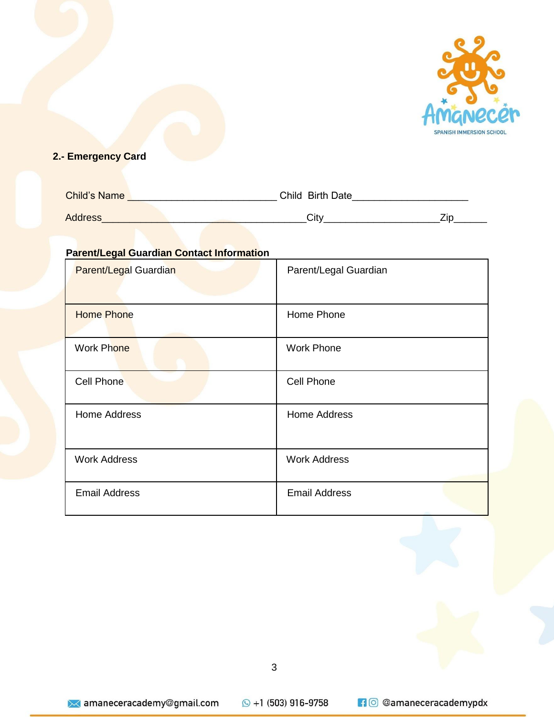

# **2.- Emergency Card**

| <b>Child's Name</b> | Child Birth Date |           |
|---------------------|------------------|-----------|
| <b>Address</b>      | City             | --<br>∠ır |

## **Parent/Legal Guardian Contact Information**

| <b>Parent/Legal Guardian</b> | Parent/Legal Guardian |
|------------------------------|-----------------------|
| <b>Home Phone</b>            | Home Phone            |
| <b>Work Phone</b>            | <b>Work Phone</b>     |
| <b>Cell Phone</b>            | Cell Phone            |
| <b>Home Address</b>          | <b>Home Address</b>   |
| <b>Work Address</b>          | <b>Work Address</b>   |
| <b>Email Address</b>         | <b>Email Address</b>  |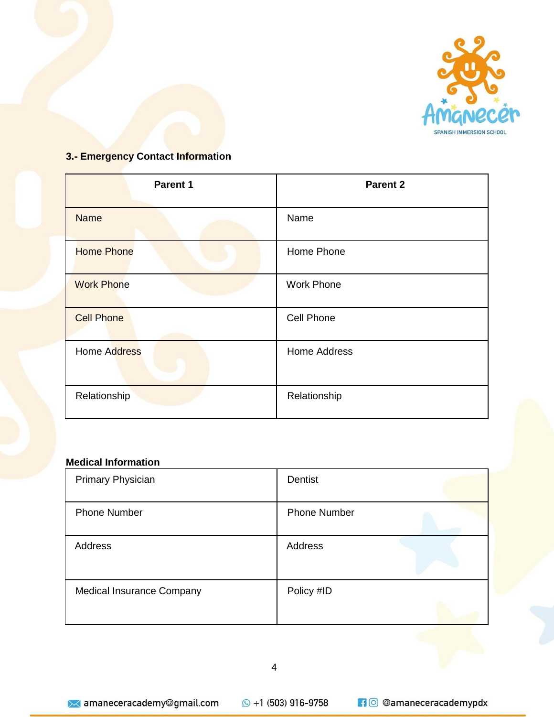

# **3.- Emergency Contact Information**

| Parent 1          | <b>Parent 2</b>   |
|-------------------|-------------------|
| <b>Name</b>       | Name              |
| <b>Home Phone</b> | Home Phone        |
| <b>Work Phone</b> | <b>Work Phone</b> |
| <b>Cell Phone</b> | <b>Cell Phone</b> |
| Home Address      | Home Address      |
| Relationship      | Relationship      |

## **Medical Information**

| Primary Physician         | Dentist             |
|---------------------------|---------------------|
| <b>Phone Number</b>       | <b>Phone Number</b> |
| Address                   | Address             |
| Medical Insurance Company | Policy #ID          |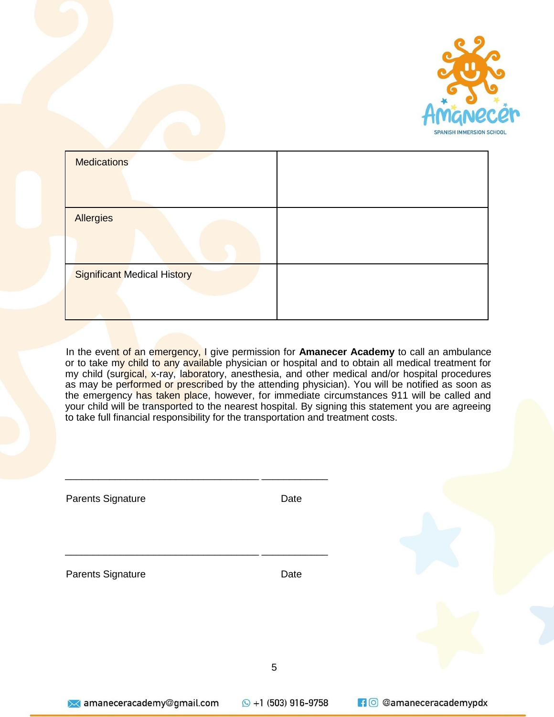

| <b>Medications</b>                 |  |
|------------------------------------|--|
| Allergies                          |  |
| <b>Significant Medical History</b> |  |

In the event of an emergency, I give permission for **Amanecer Academy** to call an ambulance or to take my child to any available physician or hospital and to obtain all medical treatment for my child (surgical, x-ray, laboratory, anesthesia, and other medical and/or hospital procedures as may be performed or prescribed by the attending physician). You will be notified as soon as the emergency has taken place, however, for immediate circumstances 911 will be called and your child will be transported to the nearest hospital. By signing this statement you are agreeing to take full financial responsibility for the transportation and treatment costs.

| Parents Signature | Date |  |
|-------------------|------|--|
|                   |      |  |
|                   |      |  |
| Parents Signature | Date |  |
|                   |      |  |
|                   |      |  |
|                   | 5    |  |
|                   |      |  |

**10** @amaneceracademypdx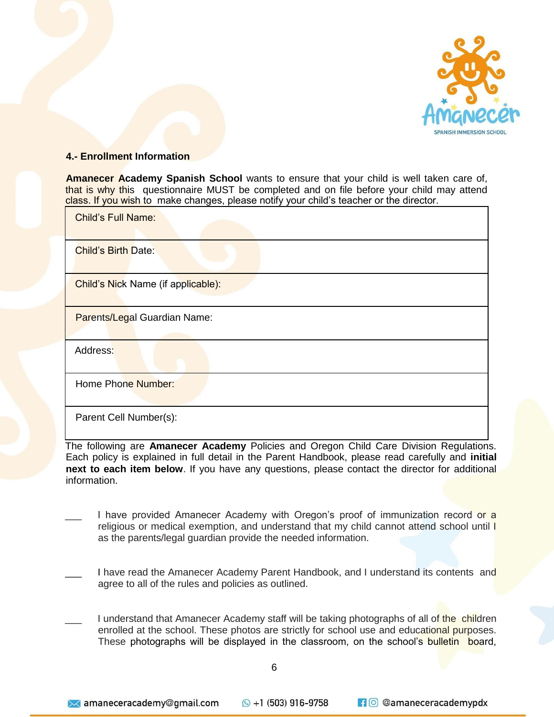

#### **4.- Enrollment Information**

**Amanecer Academy Spanish School** wants to ensure that your child is well taken care of, that is why this questionnaire MUST be completed and on file before your child may attend class. If you wish to make changes, please notify your child's teacher or the director.

| <b>Child's Full Name:</b>           |
|-------------------------------------|
| <b>Child's Birth Date:</b>          |
| Child's Nick Name (if applicable):  |
| <b>Parents/Legal Guardian Name:</b> |
| Address:                            |
| Home Phone Number:                  |
| Parent Cell Number(s):              |

The following are **Amanecer Academy** Policies and Oregon Child Care Division Regulations. Each policy is explained in full detail in the Parent Handbook, please read carefully and **initial next to each item below**. If you have any questions, please contact the director for additional information.

- I have provided Amanecer Academy with Oregon's proof of immunization record or a religious or medical exemption, and understand that my child cannot attend school until I as the parents/legal guardian provide the needed information.
- I have read the Amanecer Academy Parent Handbook, and I understand its contents and agree to all of the rules and policies as outlined.
- I understand that Amanecer Academy staff will be taking photographs of all of the children enrolled at the school. These photos are strictly for school use and educational purposes. These photographs will be displayed in the classroom, on the school's bulletin board,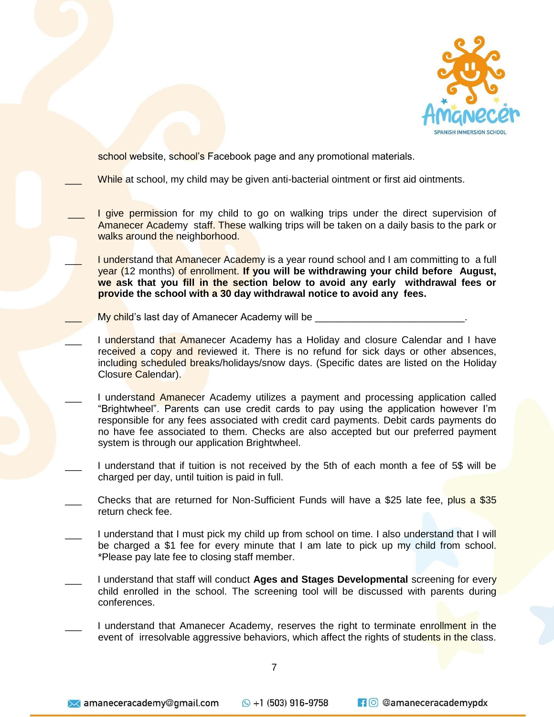

school website, school's Facebook page and any promotional materials.

While at school, my child may be given anti-bacterial ointment or first aid ointments.

I give permission for my child to go on walking trips under the direct supervision of Amanecer Academy staff. These walking trips will be taken on a daily basis to the park or walks around the neighborhood.

I understand that Amanecer Academy is a year round school and I am committing to a full year (12 months) of enrollment. **If you will be withdrawing your child before August, we ask that you fill in the section below to avoid any early withdrawal fees or provide the school with a 30 day withdrawal notice to avoid any fees.** 

My child's last day of Amanecer Academy will be

I understand that Amanecer Academy has a Holiday and closure Calendar and I have received a copy and reviewed it. There is no refund for sick days or other absences, including scheduled breaks/holidays/snow days. (Specific dates are listed on the Holiday Closure Calendar).

I understand Amanecer Academy utilizes a payment and processing application called "Brightwheel". Parents can use credit cards to pay using the application however I'm responsible for any fees associated with credit card payments. Debit cards payments do no have fee associated to them. Checks are also accepted but our preferred payment system is through our application Brightwheel.

I understand that if tuition is not received by the 5th of each month a fee of 5\$ will be charged per day, until tuition is paid in full.

- Checks that are returned for Non-Sufficient Funds will have a \$25 late fee, plus a \$35 return check fee.
- I understand that I must pick my child up from school on time. I also understand that I will be charged a \$1 fee for every minute that I am late to pick up my child from school. \*Please pay late fee to closing staff member.
- I understand that staff will conduct Ages and Stages Developmental screening for every child enrolled in the school. The screening tool will be discussed with parents during conferences.
- I understand that Amanecer Academy, reserves the right to terminate enrollment in the event of irresolvable aggressive behaviors, which affect the rights of students in the class.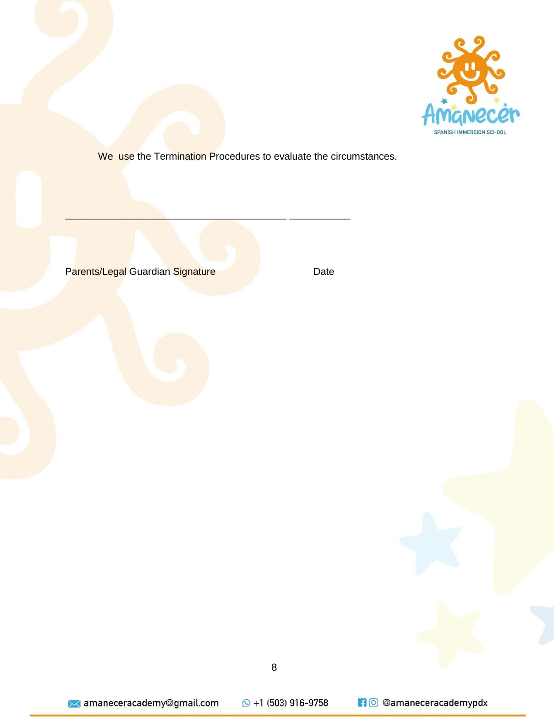

We use the Termination Procedures to evaluate the circumstances.

\_\_\_\_\_\_\_\_\_\_\_\_\_\_\_\_\_\_\_\_\_\_\_\_\_\_\_\_\_\_\_\_\_\_\_\_\_\_\_\_ \_\_\_\_\_\_\_\_\_\_\_

Parents/Legal Guardian Signature Date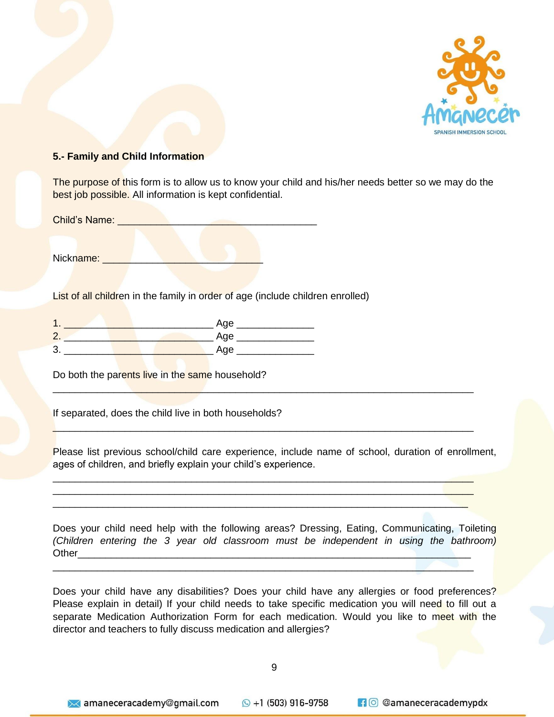

#### **5.- Family and Child Information**

The purpose of this form is to allow us to know your child and his/her needs better so we may do the best job possible. All information is kept confidential.

Child's Name: Nickname:

List of all children in the family in order of age (include children enrolled)

|        | Age |
|--------|-----|
| C      | Age |
| ີ<br>w | Age |

Do both the parents live in the same household?

If separated, does the child live in both households?

Please list previous school/child care experience, include name of school, duration of enrollment, ages of children, and briefly explain your child's experience.

\_\_\_\_\_\_\_\_\_\_\_\_\_\_\_\_\_\_\_\_\_\_\_\_\_\_\_\_\_\_\_\_\_\_\_\_\_\_\_\_\_\_\_\_\_\_\_\_\_\_\_\_\_\_\_\_\_\_\_\_\_\_\_\_\_\_\_\_\_\_\_\_\_\_\_\_

\_\_\_\_\_\_\_\_\_\_\_\_\_\_\_\_\_\_\_\_\_\_\_\_\_\_\_\_\_\_\_\_\_\_\_\_\_\_\_\_\_\_\_\_\_\_\_\_\_\_\_\_\_\_\_\_\_\_\_\_\_\_\_\_\_\_\_\_\_\_\_\_\_\_\_\_

\_\_\_\_\_\_\_\_\_\_\_\_\_\_\_\_\_\_\_\_\_\_\_\_\_\_\_\_\_\_\_\_\_\_\_\_\_\_\_\_\_\_\_\_\_\_\_\_\_\_\_\_\_\_\_\_\_\_\_\_\_\_\_\_\_\_\_\_\_\_\_\_\_\_\_\_ \_\_\_\_\_\_\_\_\_\_\_\_\_\_\_\_\_\_\_\_\_\_\_\_\_\_\_\_\_\_\_\_\_\_\_\_\_\_\_\_\_\_\_\_\_\_\_\_\_\_\_\_\_\_\_\_\_\_\_\_\_\_\_\_\_\_\_\_\_\_\_\_\_\_\_\_ \_\_\_\_\_\_\_\_\_\_\_\_\_\_\_\_\_\_\_\_\_\_\_\_\_\_\_\_\_\_\_\_\_\_\_\_\_\_\_\_\_\_\_\_\_\_\_\_\_\_\_\_\_\_\_\_\_\_\_\_\_\_\_\_\_\_\_\_\_\_\_\_\_\_\_

Does your child need help with the following areas? Dressing, Eating, Communicating, Toileting *(Children entering the 3 year old classroom must be independent in using the bathroom)*  Other\_\_\_\_\_\_\_\_\_\_\_\_\_\_\_\_\_\_\_\_\_\_\_\_\_\_\_\_\_\_\_\_\_\_\_\_\_\_\_\_\_\_\_\_\_\_\_\_\_\_\_\_\_\_\_\_\_\_\_\_\_\_\_\_\_\_\_\_\_\_\_

\_\_\_\_\_\_\_\_\_\_\_\_\_\_\_\_\_\_\_\_\_\_\_\_\_\_\_\_\_\_\_\_\_\_\_\_\_\_\_\_\_\_\_\_\_\_\_\_\_\_\_\_\_\_\_\_\_\_\_\_\_\_\_\_\_\_\_\_\_\_\_\_\_\_\_\_

Does your child have any disabilities? Does your child have any allergies or food preferences? Please explain in detail) If your child needs to take specific medication you will need to fill out a separate Medication Authorization Form for each medication. Would you like to meet with the director and teachers to fully discuss medication and allergies?

9

 $\circledS$  +1 (503) 916-9758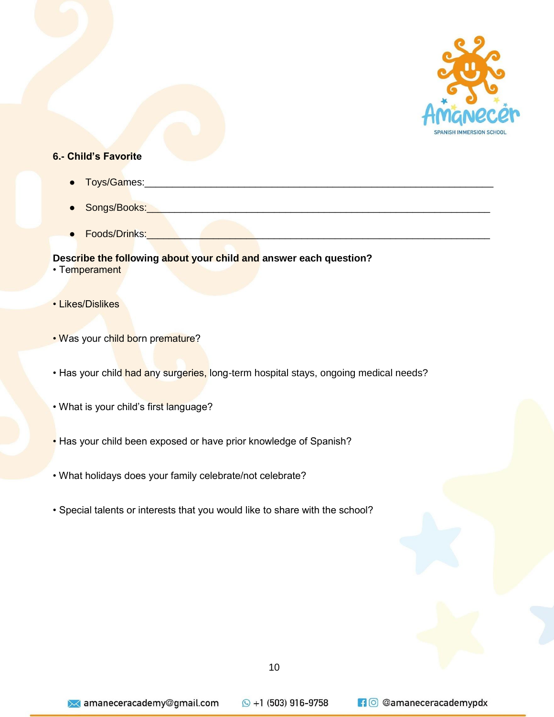

## **6.- Child's Favorite**

- Toys/Games:\_\_\_\_\_\_\_\_\_\_\_\_\_\_\_\_\_\_\_\_\_\_\_\_\_\_\_\_\_\_\_\_\_\_\_\_\_\_\_\_\_\_\_\_\_\_\_\_\_\_\_\_\_\_\_\_\_\_\_\_\_\_\_
- Songs/Books:\_\_\_\_\_\_\_\_\_\_\_\_\_\_\_\_\_\_\_\_\_\_\_\_\_\_\_\_\_\_\_\_\_\_\_\_\_\_\_\_\_\_\_\_\_\_\_\_\_\_\_\_\_\_\_\_\_\_\_\_\_\_
- Foods/Drinks:\_\_\_\_\_\_\_\_\_\_\_\_\_\_\_\_\_\_\_\_\_\_\_\_\_\_\_\_\_\_\_\_\_\_\_\_\_\_\_\_\_\_\_\_\_\_\_\_\_\_\_\_\_\_\_\_\_\_\_\_\_\_

## **Describe the following about your child and answer each question?**

- Temperament
- Likes/Dislikes
- Was your child born premature?
- Has your child had any surgeries, long-term hospital stays, ongoing medical needs?
- What is your child's first language?
- Has your child been exposed or have prior knowledge of Spanish?
- What holidays does your family celebrate/not celebrate?
- Special talents or interests that you would like to share with the school?

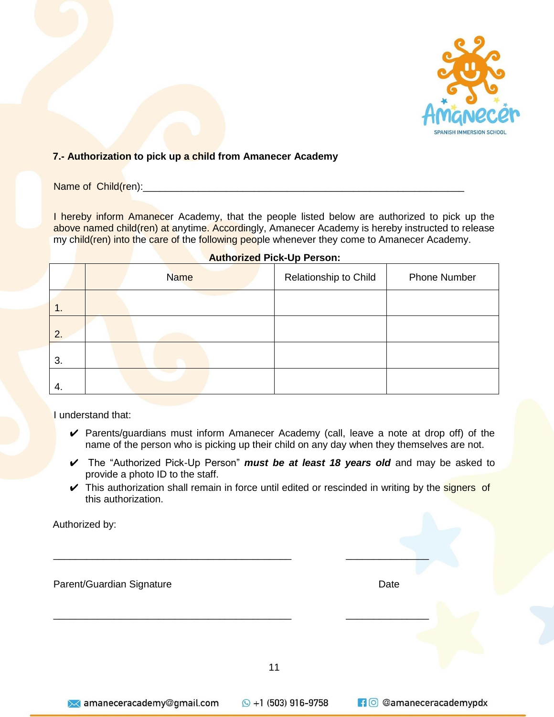

### **7.- Authorization to pick up a child from Amanecer Academy**

Name of Child(ren):\_\_\_\_\_

I hereby inform Amanecer Academy, that the people listed below are authorized to pick up the above named child(ren) at anytime. Accordingly, Amanecer Academy is hereby instructed to release my child(ren) into the care of the following people whenever they come to Amanecer Academy.

|    | <b>Name</b> | Relationship to Child | <b>Phone Number</b> |
|----|-------------|-----------------------|---------------------|
| 1. |             |                       |                     |
| 2. |             |                       |                     |
| 3. |             |                       |                     |
| 4. |             |                       |                     |

#### **Authorized Pick-Up Person:**

I understand that:

 $A \cdot A$  because  $A \cdot B \cdot B$ 

- $\vee$  Parents/guardians must inform Amanecer Academy (call, leave a note at drop off) of the name of the person who is picking up their child on any day when they themselves are not.
- ✔ The "Authorized Pick-Up Person" *must be at least 18 years old* and may be asked to provide a photo ID to the staff.
- ► This authorization shall remain in force until edited or rescinded in writing by the signers of this authorization.

| Authorized by:            |    |      |
|---------------------------|----|------|
| Parent/Guardian Signature |    | Date |
|                           |    |      |
|                           | 11 |      |
|                           |    |      |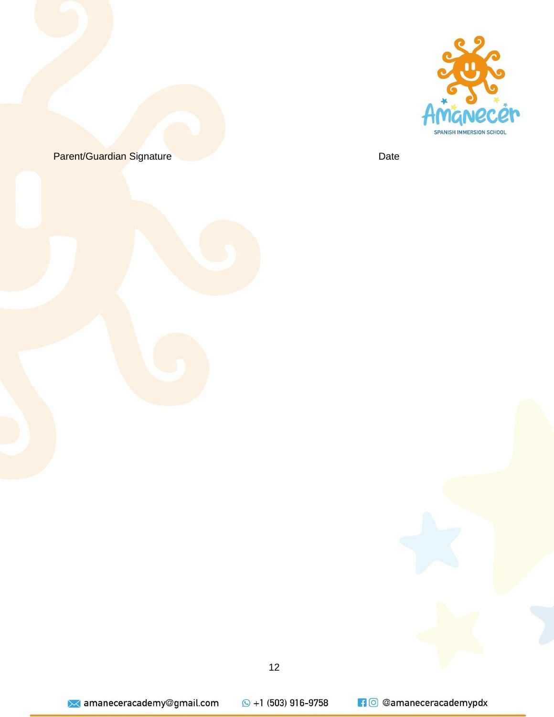

Parent/Guardian Signature **Date**